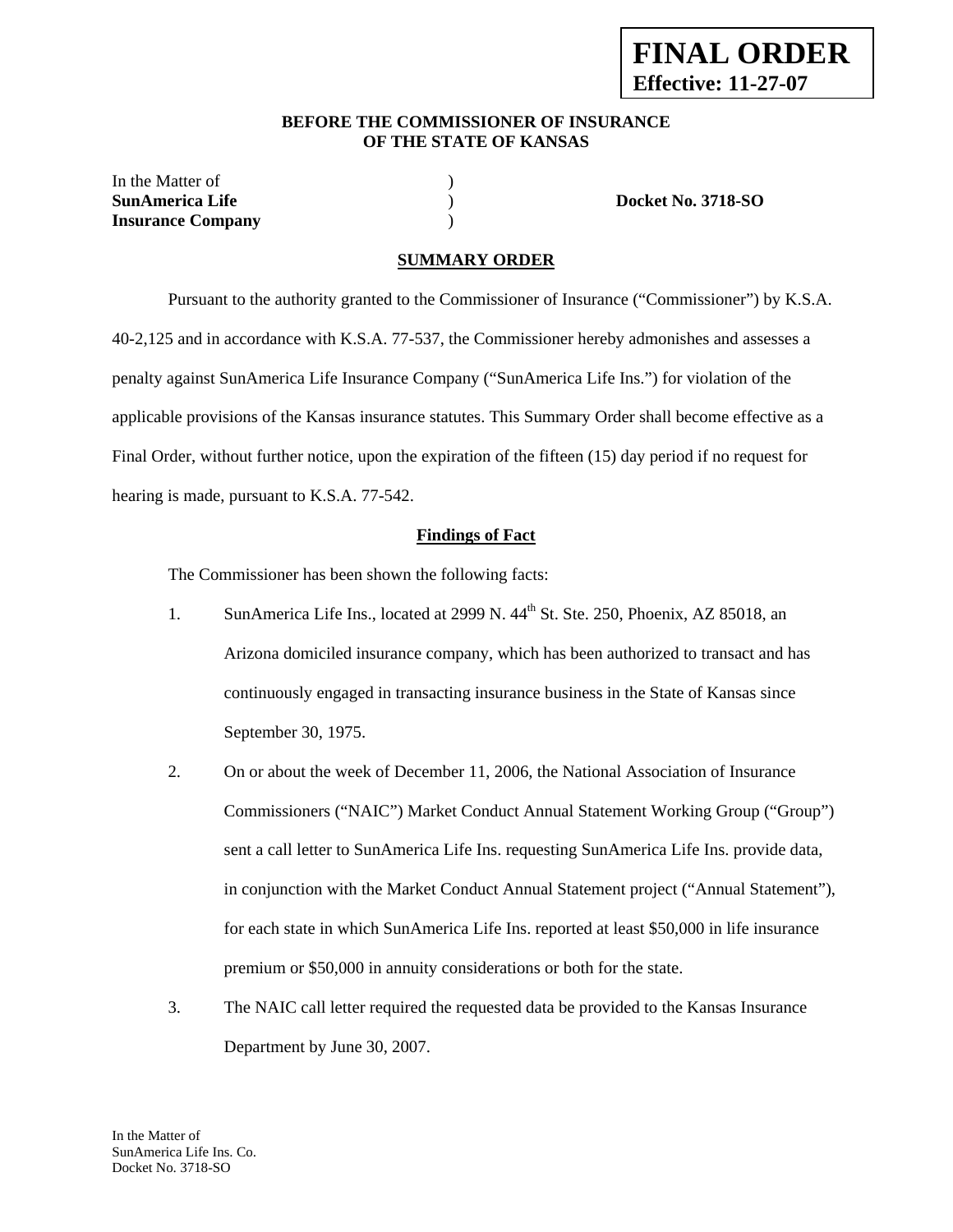#### **BEFORE THE COMMISSIONER OF INSURANCE OF THE STATE OF KANSAS**

In the Matter of  $\hspace{1.5cm}$  ) **SunAmerica Life** ) **Docket No. 3718-SO Insurance Company** )

#### **SUMMARY ORDER**

 Pursuant to the authority granted to the Commissioner of Insurance ("Commissioner") by K.S.A. 40-2,125 and in accordance with K.S.A. 77-537, the Commissioner hereby admonishes and assesses a penalty against SunAmerica Life Insurance Company ("SunAmerica Life Ins.") for violation of the applicable provisions of the Kansas insurance statutes. This Summary Order shall become effective as a Final Order, without further notice, upon the expiration of the fifteen (15) day period if no request for hearing is made, pursuant to K.S.A. 77-542.

#### **Findings of Fact**

The Commissioner has been shown the following facts:

- 1. SunAmerica Life Ins., located at 2999 N. 44<sup>th</sup> St. Ste. 250, Phoenix, AZ 85018, an Arizona domiciled insurance company, which has been authorized to transact and has continuously engaged in transacting insurance business in the State of Kansas since September 30, 1975.
- 2. On or about the week of December 11, 2006, the National Association of Insurance Commissioners ("NAIC") Market Conduct Annual Statement Working Group ("Group") sent a call letter to SunAmerica Life Ins. requesting SunAmerica Life Ins. provide data, in conjunction with the Market Conduct Annual Statement project ("Annual Statement"), for each state in which SunAmerica Life Ins. reported at least \$50,000 in life insurance premium or \$50,000 in annuity considerations or both for the state.
- 3. The NAIC call letter required the requested data be provided to the Kansas Insurance Department by June 30, 2007.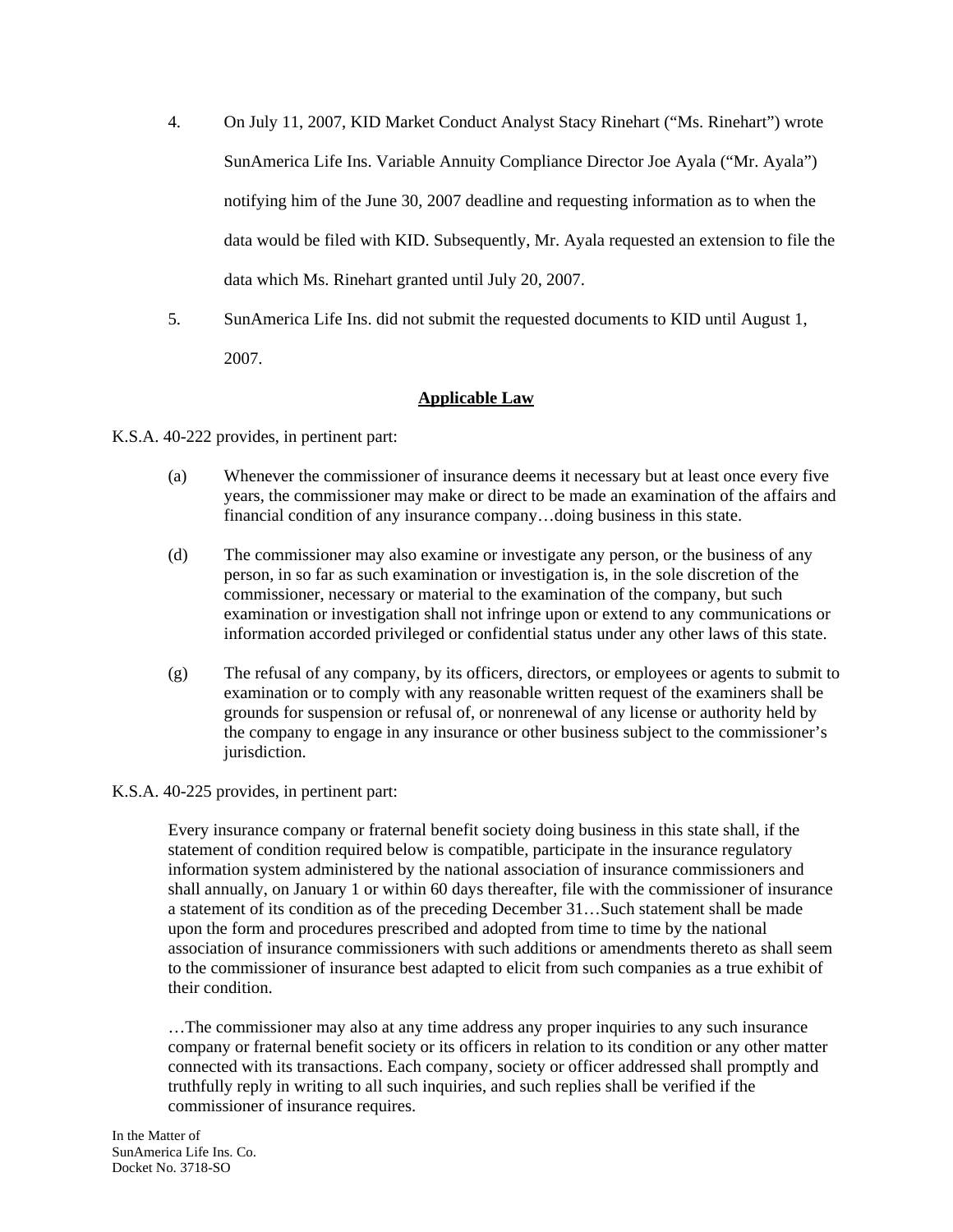- 4. On July 11, 2007, KID Market Conduct Analyst Stacy Rinehart ("Ms. Rinehart") wrote SunAmerica Life Ins. Variable Annuity Compliance Director Joe Ayala ("Mr. Ayala") notifying him of the June 30, 2007 deadline and requesting information as to when the data would be filed with KID. Subsequently, Mr. Ayala requested an extension to file the data which Ms. Rinehart granted until July 20, 2007.
- 5. SunAmerica Life Ins. did not submit the requested documents to KID until August 1, 2007.

## **Applicable Law**

K.S.A. 40-222 provides, in pertinent part:

- (a) Whenever the commissioner of insurance deems it necessary but at least once every five years, the commissioner may make or direct to be made an examination of the affairs and financial condition of any insurance company…doing business in this state.
- (d) The commissioner may also examine or investigate any person, or the business of any person, in so far as such examination or investigation is, in the sole discretion of the commissioner, necessary or material to the examination of the company, but such examination or investigation shall not infringe upon or extend to any communications or information accorded privileged or confidential status under any other laws of this state.
- (g) The refusal of any company, by its officers, directors, or employees or agents to submit to examination or to comply with any reasonable written request of the examiners shall be grounds for suspension or refusal of, or nonrenewal of any license or authority held by the company to engage in any insurance or other business subject to the commissioner's jurisdiction.

### K.S.A. 40-225 provides, in pertinent part:

Every insurance company or fraternal benefit society doing business in this state shall, if the statement of condition required below is compatible, participate in the insurance regulatory information system administered by the national association of insurance commissioners and shall annually, on January 1 or within 60 days thereafter, file with the commissioner of insurance a statement of its condition as of the preceding December 31…Such statement shall be made upon the form and procedures prescribed and adopted from time to time by the national association of insurance commissioners with such additions or amendments thereto as shall seem to the commissioner of insurance best adapted to elicit from such companies as a true exhibit of their condition.

…The commissioner may also at any time address any proper inquiries to any such insurance company or fraternal benefit society or its officers in relation to its condition or any other matter connected with its transactions. Each company, society or officer addressed shall promptly and truthfully reply in writing to all such inquiries, and such replies shall be verified if the commissioner of insurance requires.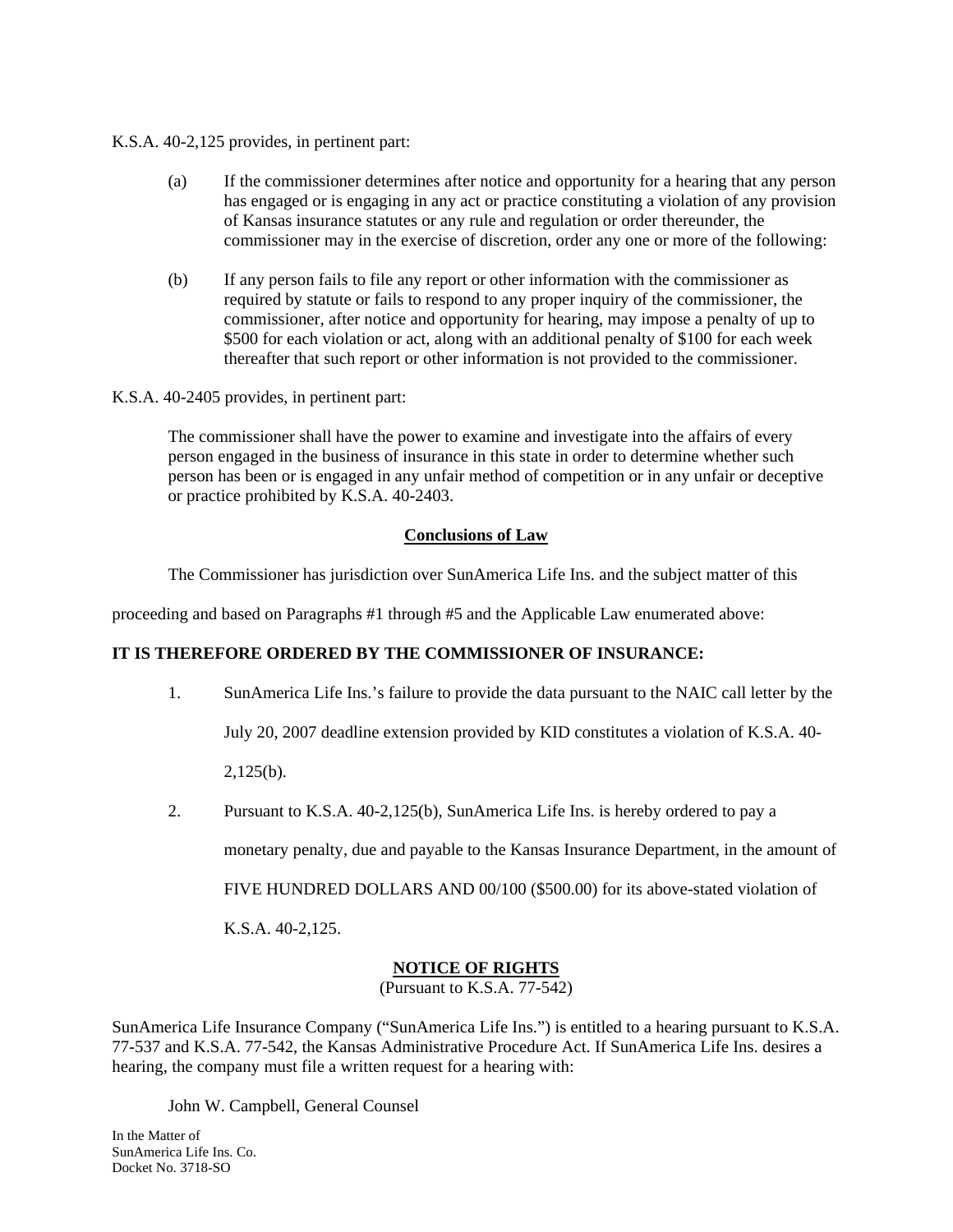### K.S.A. 40-2,125 provides, in pertinent part:

- (a) If the commissioner determines after notice and opportunity for a hearing that any person has engaged or is engaging in any act or practice constituting a violation of any provision of Kansas insurance statutes or any rule and regulation or order thereunder, the commissioner may in the exercise of discretion, order any one or more of the following:
- (b) If any person fails to file any report or other information with the commissioner as required by statute or fails to respond to any proper inquiry of the commissioner, the commissioner, after notice and opportunity for hearing, may impose a penalty of up to \$500 for each violation or act, along with an additional penalty of \$100 for each week thereafter that such report or other information is not provided to the commissioner.

## K.S.A. 40-2405 provides, in pertinent part:

The commissioner shall have the power to examine and investigate into the affairs of every person engaged in the business of insurance in this state in order to determine whether such person has been or is engaged in any unfair method of competition or in any unfair or deceptive or practice prohibited by K.S.A. 40-2403.

# **Conclusions of Law**

The Commissioner has jurisdiction over SunAmerica Life Ins. and the subject matter of this

proceeding and based on Paragraphs #1 through #5 and the Applicable Law enumerated above:

# **IT IS THEREFORE ORDERED BY THE COMMISSIONER OF INSURANCE:**

- 1. SunAmerica Life Ins.'s failure to provide the data pursuant to the NAIC call letter by the July 20, 2007 deadline extension provided by KID constitutes a violation of K.S.A. 40- 2,125(b).
- 2. Pursuant to K.S.A. 40-2,125(b), SunAmerica Life Ins. is hereby ordered to pay a

monetary penalty, due and payable to the Kansas Insurance Department, in the amount of

FIVE HUNDRED DOLLARS AND 00/100 (\$500.00) for its above-stated violation of

K.S.A. 40-2,125.

# **NOTICE OF RIGHTS**

(Pursuant to K.S.A. 77-542)

SunAmerica Life Insurance Company ("SunAmerica Life Ins.") is entitled to a hearing pursuant to K.S.A. 77-537 and K.S.A. 77-542, the Kansas Administrative Procedure Act. If SunAmerica Life Ins. desires a hearing, the company must file a written request for a hearing with:

John W. Campbell, General Counsel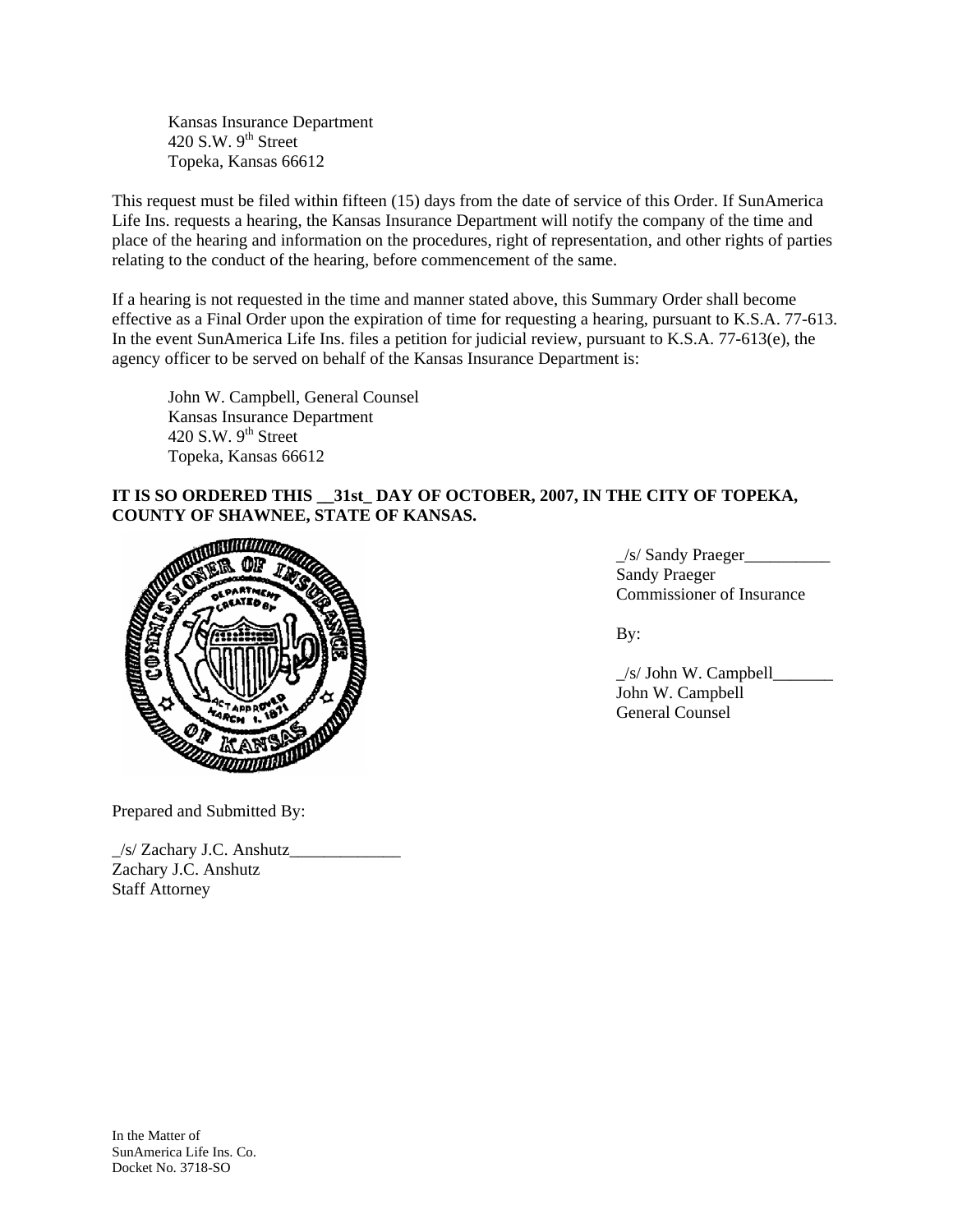Kansas Insurance Department 420 S.W.  $9<sup>th</sup>$  Street Topeka, Kansas 66612

This request must be filed within fifteen (15) days from the date of service of this Order. If SunAmerica Life Ins. requests a hearing, the Kansas Insurance Department will notify the company of the time and place of the hearing and information on the procedures, right of representation, and other rights of parties relating to the conduct of the hearing, before commencement of the same.

If a hearing is not requested in the time and manner stated above, this Summary Order shall become effective as a Final Order upon the expiration of time for requesting a hearing, pursuant to K.S.A. 77-613. In the event SunAmerica Life Ins. files a petition for judicial review, pursuant to K.S.A. 77-613(e), the agency officer to be served on behalf of the Kansas Insurance Department is:

 John W. Campbell, General Counsel Kansas Insurance Department 420 S.W.  $9<sup>th</sup>$  Street Topeka, Kansas 66612

# **IT IS SO ORDERED THIS \_\_31st\_ DAY OF OCTOBER, 2007, IN THE CITY OF TOPEKA, COUNTY OF SHAWNEE, STATE OF KANSAS.**



\_/s/ Sandy Praeger\_\_\_\_\_\_\_\_\_\_ Sandy Praeger Commissioner of Insurance

 \_/s/ John W. Campbell\_\_\_\_\_\_\_ John W. Campbell General Counsel

Prepared and Submitted By:

 $\frac{1}{s}$  Zachary J.C. Anshutz Zachary J.C. Anshutz Staff Attorney